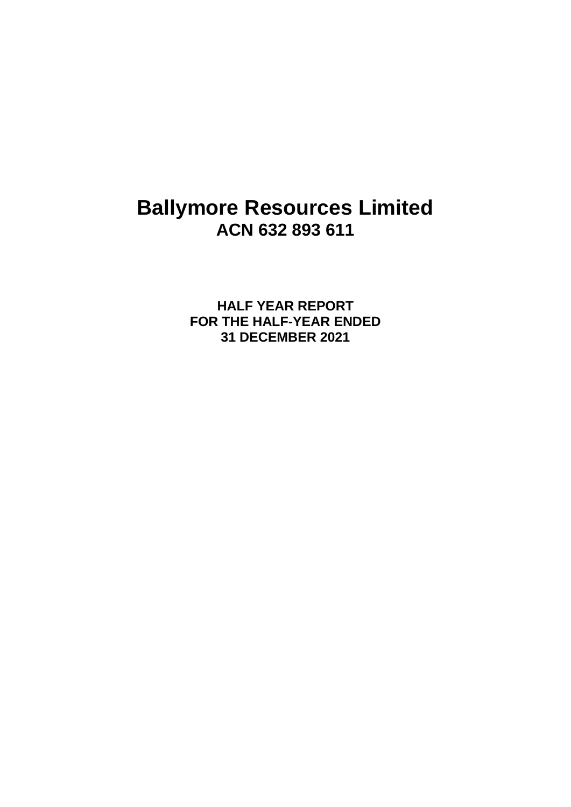# **Ballymore Resources Limited ACN 632 893 611**

**HALF YEAR REPORT FOR THE HALF-YEAR ENDED 31 DECEMBER 2021**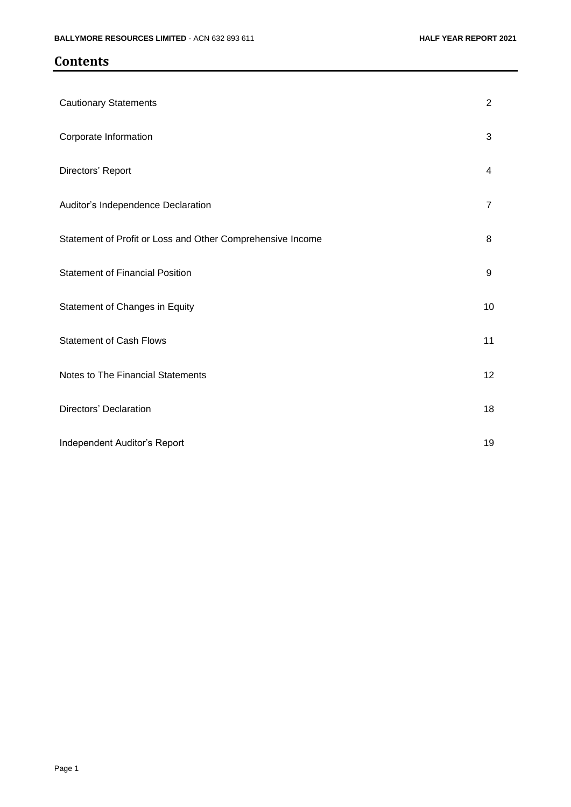## **Contents**

| <b>Cautionary Statements</b>                               | $\overline{2}$ |
|------------------------------------------------------------|----------------|
| Corporate Information                                      | 3              |
| Directors' Report                                          | 4              |
| Auditor's Independence Declaration                         | $\overline{7}$ |
| Statement of Profit or Loss and Other Comprehensive Income | 8              |
| <b>Statement of Financial Position</b>                     | 9              |
| Statement of Changes in Equity                             | 10             |
| <b>Statement of Cash Flows</b>                             | 11             |
| Notes to The Financial Statements                          | 12             |
| Directors' Declaration                                     | 18             |
| Independent Auditor's Report                               | 19             |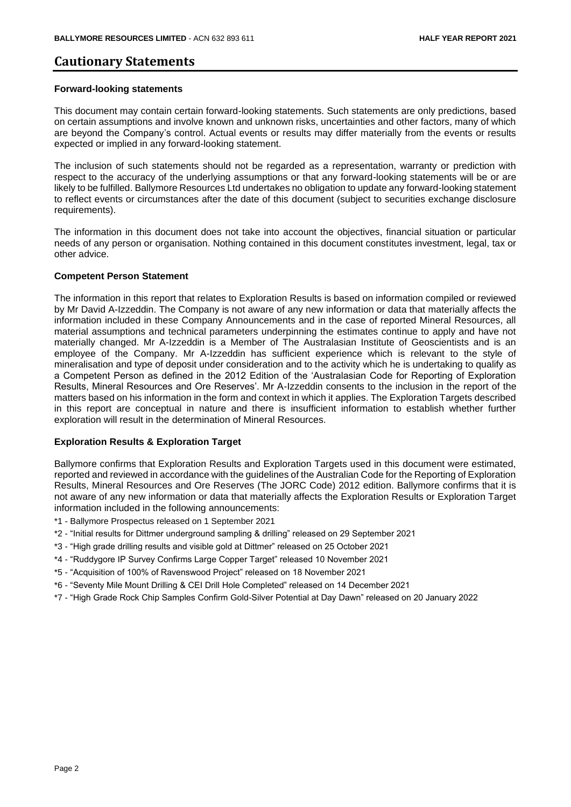### **Cautionary Statements**

#### **Forward-looking statements**

This document may contain certain forward-looking statements. Such statements are only predictions, based on certain assumptions and involve known and unknown risks, uncertainties and other factors, many of which are beyond the Company's control. Actual events or results may differ materially from the events or results expected or implied in any forward-looking statement.

The inclusion of such statements should not be regarded as a representation, warranty or prediction with respect to the accuracy of the underlying assumptions or that any forward-looking statements will be or are likely to be fulfilled. Ballymore Resources Ltd undertakes no obligation to update any forward-looking statement to reflect events or circumstances after the date of this document (subject to securities exchange disclosure requirements).

The information in this document does not take into account the objectives, financial situation or particular needs of any person or organisation. Nothing contained in this document constitutes investment, legal, tax or other advice.

#### **Competent Person Statement**

The information in this report that relates to Exploration Results is based on information compiled or reviewed by Mr David A-Izzeddin. The Company is not aware of any new information or data that materially affects the information included in these Company Announcements and in the case of reported Mineral Resources, all material assumptions and technical parameters underpinning the estimates continue to apply and have not materially changed. Mr A-Izzeddin is a Member of The Australasian Institute of Geoscientists and is an employee of the Company. Mr A-Izzeddin has sufficient experience which is relevant to the style of mineralisation and type of deposit under consideration and to the activity which he is undertaking to qualify as a Competent Person as defined in the 2012 Edition of the 'Australasian Code for Reporting of Exploration Results, Mineral Resources and Ore Reserves'. Mr A-Izzeddin consents to the inclusion in the report of the matters based on his information in the form and context in which it applies. The Exploration Targets described in this report are conceptual in nature and there is insufficient information to establish whether further exploration will result in the determination of Mineral Resources.

#### **Exploration Results & Exploration Target**

Ballymore confirms that Exploration Results and Exploration Targets used in this document were estimated, reported and reviewed in accordance with the guidelines of the Australian Code for the Reporting of Exploration Results, Mineral Resources and Ore Reserves (The JORC Code) 2012 edition. Ballymore confirms that it is not aware of any new information or data that materially affects the Exploration Results or Exploration Target information included in the following announcements:

- \*1 Ballymore Prospectus released on 1 September 2021
- \*2 "Initial results for Dittmer underground sampling & drilling" released on 29 September 2021
- \*3 "High grade drilling results and visible gold at Dittmer" released on 25 October 2021
- \*4 "Ruddygore IP Survey Confirms Large Copper Target" released 10 November 2021
- \*5 "Acquisition of 100% of Ravenswood Project" released on 18 November 2021
- \*6 "Seventy Mile Mount Drilling & CEI Drill Hole Completed" released on 14 December 2021
- \*7 "High Grade Rock Chip Samples Confirm Gold-Silver Potential at Day Dawn" released on 20 January 2022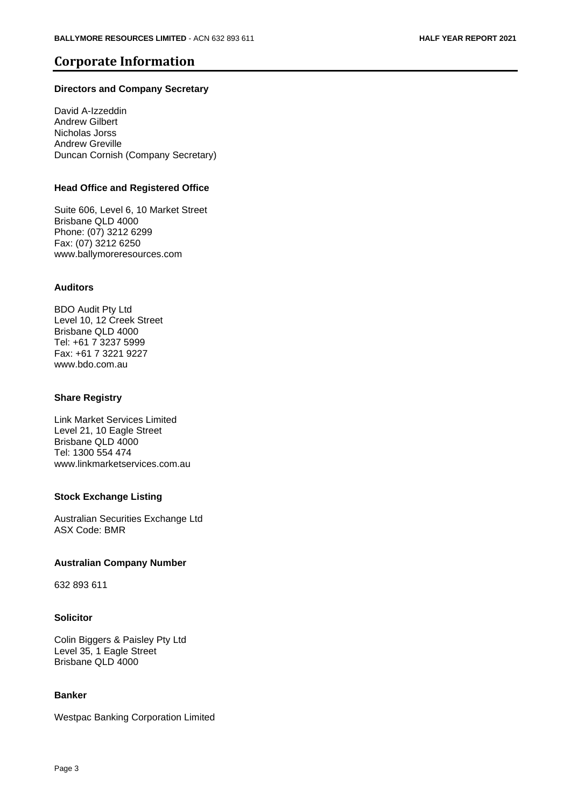## **Corporate Information**

#### **Directors and Company Secretary**

David A-Izzeddin Andrew Gilbert Nicholas Jorss Andrew Greville Duncan Cornish (Company Secretary)

#### **Head Office and Registered Office**

Suite 606, Level 6, 10 Market Street Brisbane QLD 4000 Phone: (07) 3212 6299 Fax: (07) 3212 6250 www.ballymoreresources.com

#### **Auditors**

BDO Audit Pty Ltd Level 10, 12 Creek Street Brisbane QLD 4000 Tel: +61 7 3237 5999 Fax: +61 7 3221 9227 www.bdo.com.au

#### **Share Registry**

Link Market Services Limited Level 21, 10 Eagle Street Brisbane QLD 4000 Tel: 1300 554 474 www.linkmarketservices.com.au

#### **Stock Exchange Listing**

Australian Securities Exchange Ltd ASX Code: BMR

#### **Australian Company Number**

632 893 611

#### **Solicitor**

Colin Biggers & Paisley Pty Ltd Level 35, 1 Eagle Street Brisbane QLD 4000

#### **Banker**

Westpac Banking Corporation Limited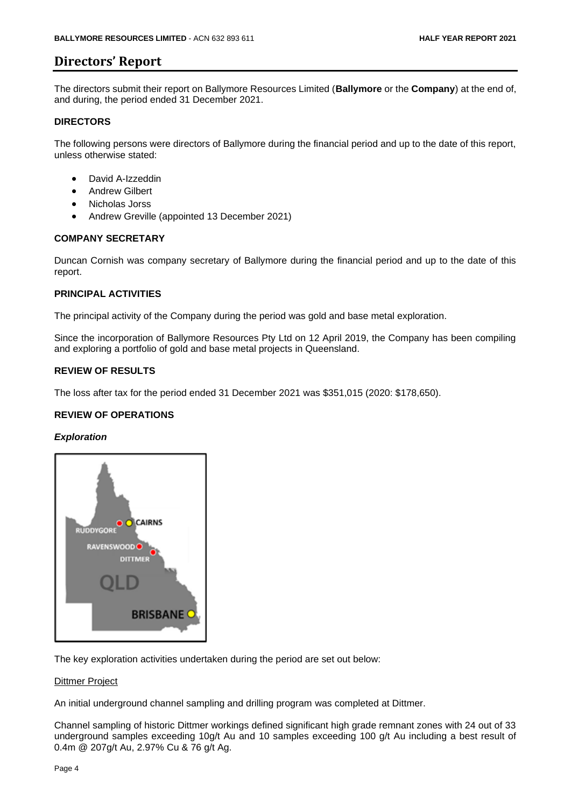## **Directors' Report**

The directors submit their report on Ballymore Resources Limited (**Ballymore** or the **Company**) at the end of, and during, the period ended 31 December 2021.

#### **DIRECTORS**

The following persons were directors of Ballymore during the financial period and up to the date of this report, unless otherwise stated:

- David A-Izzeddin
- Andrew Gilbert
- Nicholas Jorss
- Andrew Greville (appointed 13 December 2021)

#### **COMPANY SECRETARY**

Duncan Cornish was company secretary of Ballymore during the financial period and up to the date of this report.

#### **PRINCIPAL ACTIVITIES**

The principal activity of the Company during the period was gold and base metal exploration.

Since the incorporation of Ballymore Resources Pty Ltd on 12 April 2019, the Company has been compiling and exploring a portfolio of gold and base metal projects in Queensland.

#### **REVIEW OF RESULTS**

The loss after tax for the period ended 31 December 2021 was \$351,015 (2020: \$178,650).

#### **REVIEW OF OPERATIONS**

#### *Exploration*



The key exploration activities undertaken during the period are set out below:

#### Dittmer Project

An initial underground channel sampling and drilling program was completed at Dittmer.

Channel sampling of historic Dittmer workings defined significant high grade remnant zones with 24 out of 33 underground samples exceeding 10g/t Au and 10 samples exceeding 100 g/t Au including a best result of 0.4m @ 207g/t Au, 2.97% Cu & 76 g/t Ag.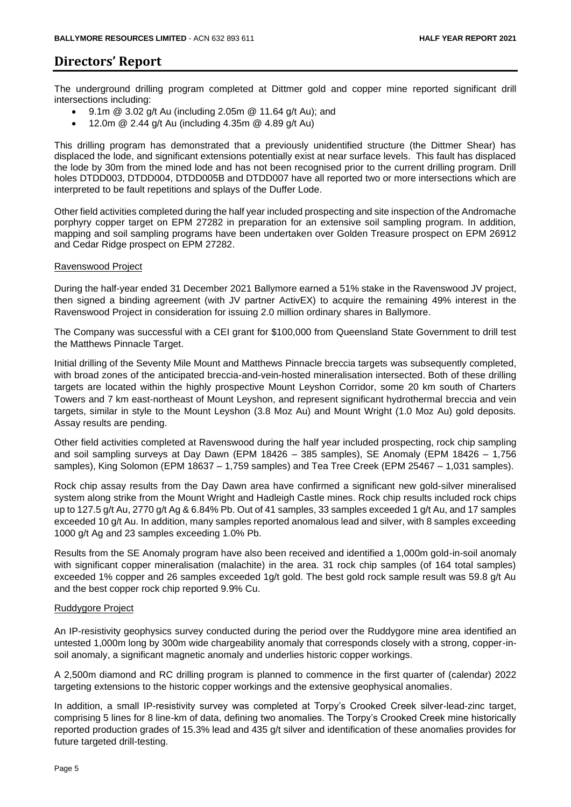## **Directors' Report**

The underground drilling program completed at Dittmer gold and copper mine reported significant drill intersections including:

- 9.1m @ 3.02 g/t Au (including 2.05m @ 11.64 g/t Au); and
- 12.0m  $@$  2.44 g/t Au (including 4.35m  $@$  4.89 g/t Au)

This drilling program has demonstrated that a previously unidentified structure (the Dittmer Shear) has displaced the lode, and significant extensions potentially exist at near surface levels. This fault has displaced the lode by 30m from the mined lode and has not been recognised prior to the current drilling program. Drill holes DTDD003, DTDD004, DTDD005B and DTDD007 have all reported two or more intersections which are interpreted to be fault repetitions and splays of the Duffer Lode.

Other field activities completed during the half year included prospecting and site inspection of the Andromache porphyry copper target on EPM 27282 in preparation for an extensive soil sampling program. In addition, mapping and soil sampling programs have been undertaken over Golden Treasure prospect on EPM 26912 and Cedar Ridge prospect on EPM 27282.

#### Ravenswood Project

During the half-year ended 31 December 2021 Ballymore earned a 51% stake in the Ravenswood JV project, then signed a binding agreement (with JV partner ActivEX) to acquire the remaining 49% interest in the Ravenswood Project in consideration for issuing 2.0 million ordinary shares in Ballymore.

The Company was successful with a CEI grant for \$100,000 from Queensland State Government to drill test the Matthews Pinnacle Target.

Initial drilling of the Seventy Mile Mount and Matthews Pinnacle breccia targets was subsequently completed, with broad zones of the anticipated breccia-and-vein-hosted mineralisation intersected. Both of these drilling targets are located within the highly prospective Mount Leyshon Corridor, some 20 km south of Charters Towers and 7 km east-northeast of Mount Leyshon, and represent significant hydrothermal breccia and vein targets, similar in style to the Mount Leyshon (3.8 Moz Au) and Mount Wright (1.0 Moz Au) gold deposits. Assay results are pending.

Other field activities completed at Ravenswood during the half year included prospecting, rock chip sampling and soil sampling surveys at Day Dawn (EPM 18426 – 385 samples), SE Anomaly (EPM 18426 – 1,756 samples), King Solomon (EPM 18637 – 1,759 samples) and Tea Tree Creek (EPM 25467 – 1,031 samples).

Rock chip assay results from the Day Dawn area have confirmed a significant new gold-silver mineralised system along strike from the Mount Wright and Hadleigh Castle mines. Rock chip results included rock chips up to 127.5 g/t Au, 2770 g/t Ag & 6.84% Pb. Out of 41 samples, 33 samples exceeded 1 g/t Au, and 17 samples exceeded 10 g/t Au. In addition, many samples reported anomalous lead and silver, with 8 samples exceeding 1000 g/t Ag and 23 samples exceeding 1.0% Pb.

Results from the SE Anomaly program have also been received and identified a 1,000m gold-in-soil anomaly with significant copper mineralisation (malachite) in the area. 31 rock chip samples (of 164 total samples) exceeded 1% copper and 26 samples exceeded 1g/t gold. The best gold rock sample result was 59.8 g/t Au and the best copper rock chip reported 9.9% Cu.

#### Ruddygore Project

An IP-resistivity geophysics survey conducted during the period over the Ruddygore mine area identified an untested 1,000m long by 300m wide chargeability anomaly that corresponds closely with a strong, copper-insoil anomaly, a significant magnetic anomaly and underlies historic copper workings.

A 2,500m diamond and RC drilling program is planned to commence in the first quarter of (calendar) 2022 targeting extensions to the historic copper workings and the extensive geophysical anomalies.

In addition, a small IP-resistivity survey was completed at Torpy's Crooked Creek silver-lead-zinc target, comprising 5 lines for 8 line-km of data, defining two anomalies. The Torpy's Crooked Creek mine historically reported production grades of 15.3% lead and 435 g/t silver and identification of these anomalies provides for future targeted drill-testing.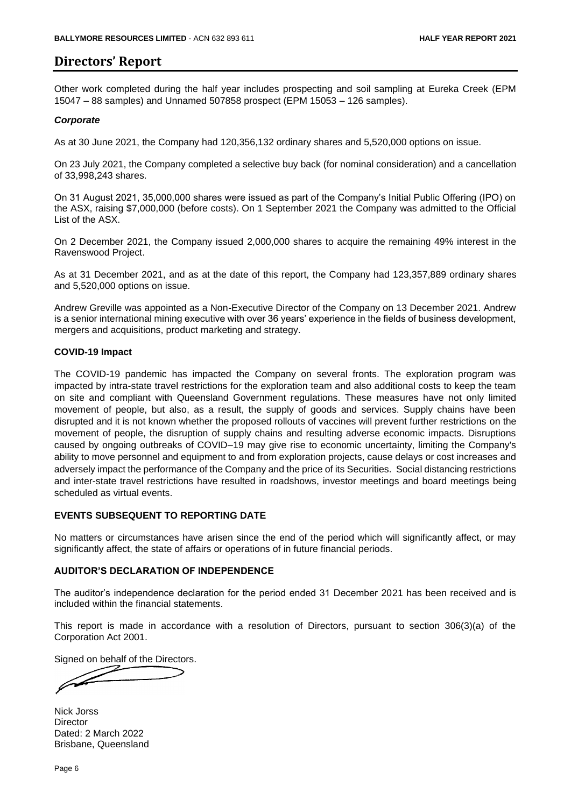## **Directors' Report**

Other work completed during the half year includes prospecting and soil sampling at Eureka Creek (EPM 15047 – 88 samples) and Unnamed 507858 prospect (EPM 15053 – 126 samples).

#### *Corporate*

As at 30 June 2021, the Company had 120,356,132 ordinary shares and 5,520,000 options on issue.

On 23 July 2021, the Company completed a selective buy back (for nominal consideration) and a cancellation of 33,998,243 shares.

On 31 August 2021, 35,000,000 shares were issued as part of the Company's Initial Public Offering (IPO) on the ASX, raising \$7,000,000 (before costs). On 1 September 2021 the Company was admitted to the Official List of the ASX.

On 2 December 2021, the Company issued 2,000,000 shares to acquire the remaining 49% interest in the Ravenswood Project.

As at 31 December 2021, and as at the date of this report, the Company had 123,357,889 ordinary shares and 5,520,000 options on issue.

Andrew Greville was appointed as a Non-Executive Director of the Company on 13 December 2021. Andrew is a senior international mining executive with over 36 years' experience in the fields of business development, mergers and acquisitions, product marketing and strategy.

#### **COVID-19 Impact**

The COVID-19 pandemic has impacted the Company on several fronts. The exploration program was impacted by intra-state travel restrictions for the exploration team and also additional costs to keep the team on site and compliant with Queensland Government regulations. These measures have not only limited movement of people, but also, as a result, the supply of goods and services. Supply chains have been disrupted and it is not known whether the proposed rollouts of vaccines will prevent further restrictions on the movement of people, the disruption of supply chains and resulting adverse economic impacts. Disruptions caused by ongoing outbreaks of COVID–19 may give rise to economic uncertainty, limiting the Company's ability to move personnel and equipment to and from exploration projects, cause delays or cost increases and adversely impact the performance of the Company and the price of its Securities. Social distancing restrictions and inter-state travel restrictions have resulted in roadshows, investor meetings and board meetings being scheduled as virtual events.

#### **EVENTS SUBSEQUENT TO REPORTING DATE**

No matters or circumstances have arisen since the end of the period which will significantly affect, or may significantly affect, the state of affairs or operations of in future financial periods.

#### **AUDITOR'S DECLARATION OF INDEPENDENCE**

The auditor's independence declaration for the period ended 31 December 2021 has been received and is included within the financial statements.

This report is made in accordance with a resolution of Directors, pursuant to section 306(3)(a) of the Corporation Act 2001.

Signed on behalf of the Directors.

Nick Jorss **Director** Dated: 2 March 2022 Brisbane, Queensland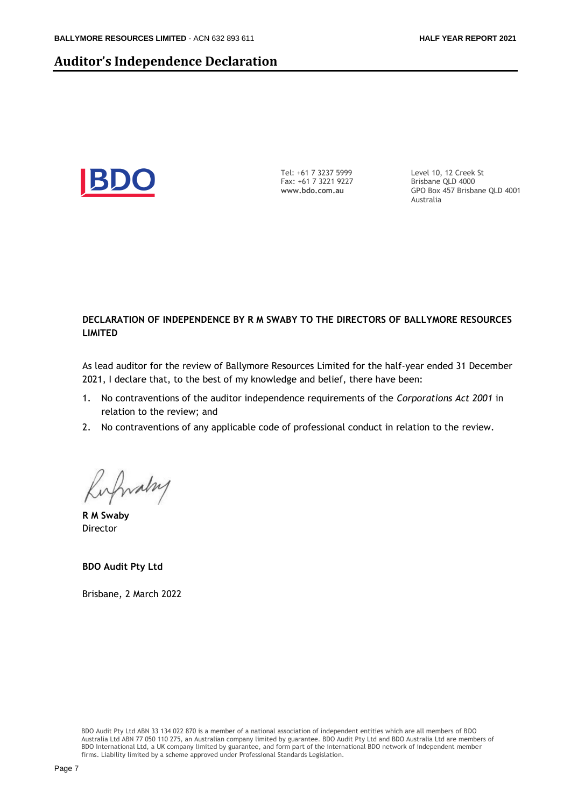### **Auditor's Independence Declaration**



Tel: +61 7 3237 5999 Fax: +61 7 3221 9227 **www.bdo.com.au** 

Level 10, 12 Creek St Brisbane QLD 4000 GPO Box 457 Brisbane QLD 4001 Australia

#### **DECLARATION OF INDEPENDENCE BY R M SWABY TO THE DIRECTORS OF BALLYMORE RESOURCES LIMITED**

As lead auditor for the review of Ballymore Resources Limited for the half-year ended 31 December 2021, I declare that, to the best of my knowledge and belief, there have been:

- 1. No contraventions of the auditor independence requirements of the *Corporations Act 2001* in relation to the review; and
- 2. No contraventions of any applicable code of professional conduct in relation to the review.

Kirfwalzy

**R M Swaby**  Director

**BDO Audit Pty Ltd**

Brisbane, 2 March 2022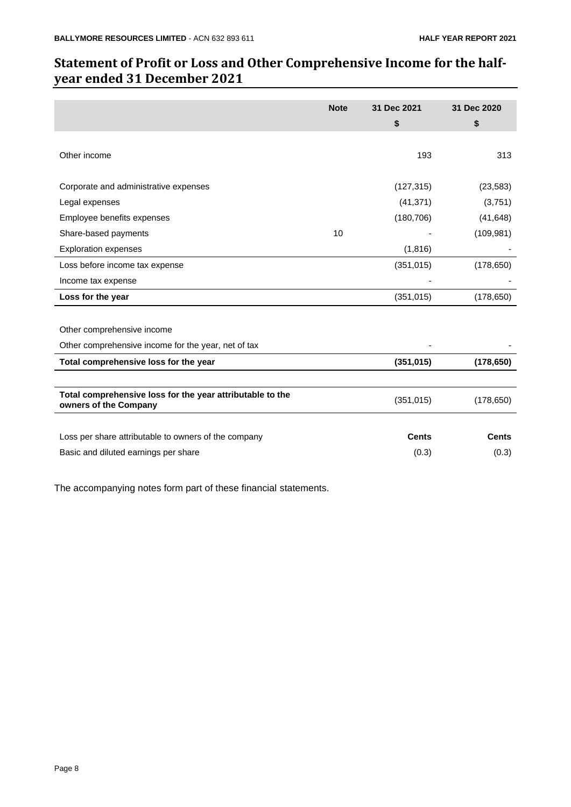## **Statement of Profit or Loss and Other Comprehensive Income for the halfyear ended 31 December 2021**

|                                                                                    | <b>Note</b> | 31 Dec 2021<br>\$ | 31 Dec 2020<br>\$ |
|------------------------------------------------------------------------------------|-------------|-------------------|-------------------|
| Other income                                                                       |             | 193               | 313               |
| Corporate and administrative expenses                                              |             | (127, 315)        | (23, 583)         |
| Legal expenses                                                                     |             | (41, 371)         | (3,751)           |
| Employee benefits expenses                                                         |             | (180, 706)        | (41, 648)         |
| Share-based payments                                                               | 10          |                   | (109, 981)        |
| <b>Exploration expenses</b>                                                        |             | (1, 816)          |                   |
| Loss before income tax expense                                                     |             | (351, 015)        | (178, 650)        |
| Income tax expense                                                                 |             |                   |                   |
| Loss for the year                                                                  |             | (351, 015)        | (178, 650)        |
|                                                                                    |             |                   |                   |
| Other comprehensive income                                                         |             |                   |                   |
| Other comprehensive income for the year, net of tax                                |             |                   |                   |
| Total comprehensive loss for the year                                              |             | (351, 015)        | (178, 650)        |
|                                                                                    |             |                   |                   |
| Total comprehensive loss for the year attributable to the<br>owners of the Company |             | (351, 015)        | (178, 650)        |
|                                                                                    |             |                   |                   |
| Loss per share attributable to owners of the company                               |             | <b>Cents</b>      | <b>Cents</b>      |
| Basic and diluted earnings per share                                               |             | (0.3)             | (0.3)             |
|                                                                                    |             |                   |                   |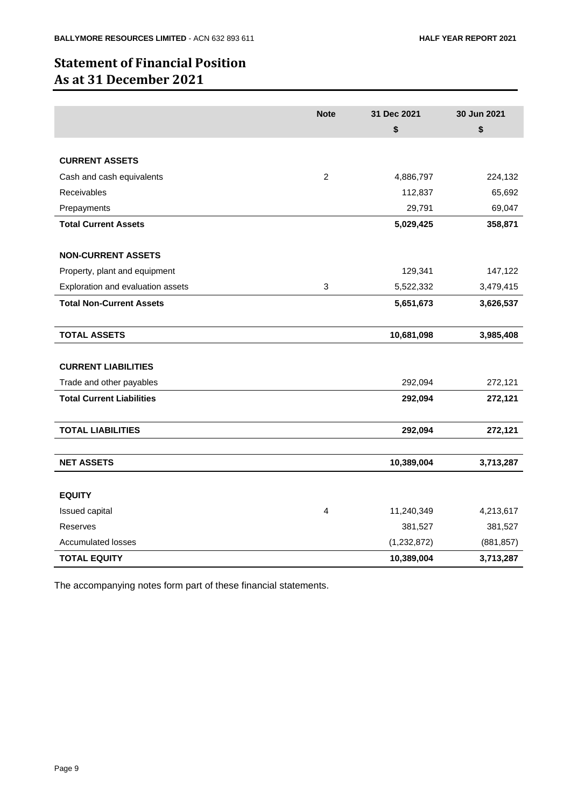## **Statement of Financial Position As at 31 December 2021**

|                                   | <b>Note</b>    | 31 Dec 2021   | 30 Jun 2021 |
|-----------------------------------|----------------|---------------|-------------|
|                                   |                | \$            | \$          |
|                                   |                |               |             |
| <b>CURRENT ASSETS</b>             |                |               |             |
| Cash and cash equivalents         | $\overline{c}$ | 4,886,797     | 224,132     |
| <b>Receivables</b>                |                | 112,837       | 65,692      |
| Prepayments                       |                | 29,791        | 69,047      |
| <b>Total Current Assets</b>       |                | 5,029,425     | 358,871     |
|                                   |                |               |             |
| <b>NON-CURRENT ASSETS</b>         |                |               |             |
| Property, plant and equipment     |                | 129,341       | 147,122     |
| Exploration and evaluation assets | 3              | 5,522,332     | 3,479,415   |
| <b>Total Non-Current Assets</b>   |                | 5,651,673     | 3,626,537   |
|                                   |                |               |             |
| <b>TOTAL ASSETS</b>               |                | 10,681,098    | 3,985,408   |
|                                   |                |               |             |
| <b>CURRENT LIABILITIES</b>        |                |               |             |
| Trade and other payables          |                | 292,094       | 272,121     |
| <b>Total Current Liabilities</b>  |                | 292,094       | 272,121     |
|                                   |                |               |             |
| <b>TOTAL LIABILITIES</b>          |                | 292,094       | 272,121     |
|                                   |                |               |             |
| <b>NET ASSETS</b>                 |                | 10,389,004    | 3,713,287   |
|                                   |                |               |             |
| <b>EQUITY</b>                     |                |               |             |
| Issued capital                    | $\overline{4}$ | 11,240,349    | 4,213,617   |
| Reserves                          |                | 381,527       | 381,527     |
| <b>Accumulated losses</b>         |                | (1, 232, 872) | (881, 857)  |
| <b>TOTAL EQUITY</b>               |                | 10,389,004    | 3,713,287   |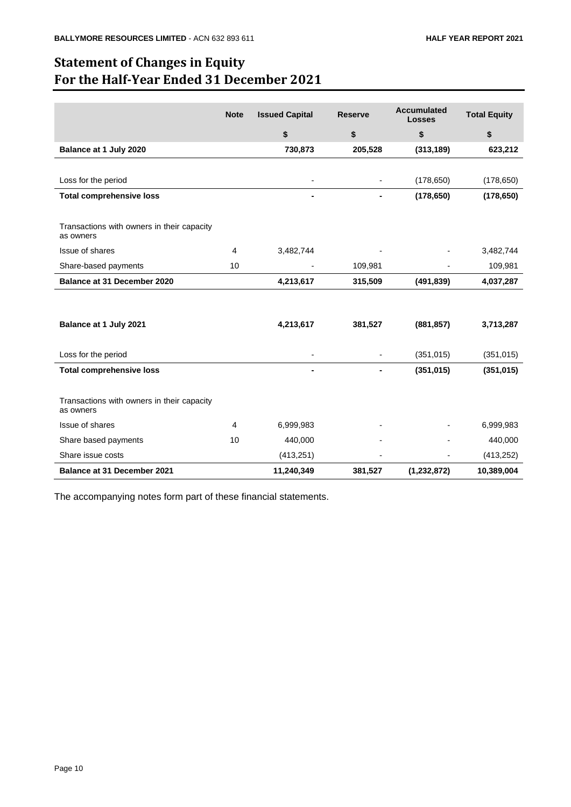## **Statement of Changes in Equity For the Half-Year Ended 31 December 2021**

|                                                         | <b>Note</b> | <b>Issued Capital</b> | <b>Reserve</b> | <b>Accumulated</b><br><b>Losses</b> | <b>Total Equity</b> |
|---------------------------------------------------------|-------------|-----------------------|----------------|-------------------------------------|---------------------|
|                                                         |             | \$                    | \$             | \$                                  | \$                  |
| Balance at 1 July 2020                                  |             | 730,873               | 205,528        | (313, 189)                          | 623,212             |
|                                                         |             |                       |                |                                     |                     |
| Loss for the period                                     |             |                       |                | (178, 650)                          | (178, 650)          |
| <b>Total comprehensive loss</b>                         |             |                       |                | (178, 650)                          | (178, 650)          |
|                                                         |             |                       |                |                                     |                     |
| Transactions with owners in their capacity<br>as owners |             |                       |                |                                     |                     |
| Issue of shares                                         | 4           | 3,482,744             |                |                                     | 3,482,744           |
| Share-based payments                                    | 10          |                       | 109,981        |                                     | 109,981             |
| <b>Balance at 31 December 2020</b>                      |             | 4,213,617             | 315,509        | (491, 839)                          | 4,037,287           |
|                                                         |             |                       |                |                                     |                     |
| Balance at 1 July 2021                                  |             | 4,213,617             | 381,527        | (881, 857)                          | 3,713,287           |
| Loss for the period                                     |             |                       |                | (351, 015)                          | (351, 015)          |
| <b>Total comprehensive loss</b>                         |             |                       |                | (351, 015)                          | (351, 015)          |
| Transactions with owners in their capacity<br>as owners |             |                       |                |                                     |                     |
| Issue of shares                                         | 4           | 6,999,983             |                |                                     | 6,999,983           |
| Share based payments                                    | 10          | 440,000               |                |                                     | 440,000             |
| Share issue costs                                       |             | (413, 251)            |                |                                     | (413, 252)          |
| <b>Balance at 31 December 2021</b>                      |             | 11,240,349            | 381,527        | (1, 232, 872)                       | 10,389,004          |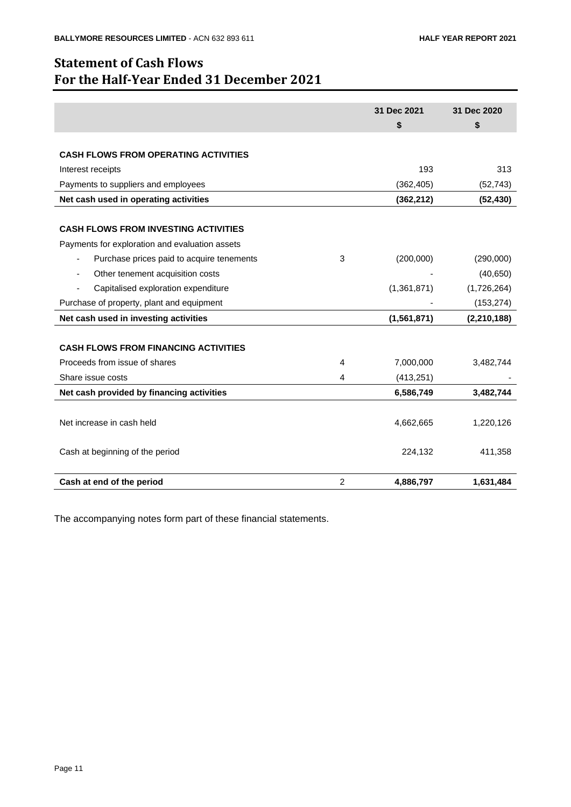## **Statement of Cash Flows For the Half-Year Ended 31 December 2021**

|                                                                            | 31 Dec 2021<br>\$ | 31 Dec 2020<br>\$ |
|----------------------------------------------------------------------------|-------------------|-------------------|
|                                                                            |                   |                   |
| <b>CASH FLOWS FROM OPERATING ACTIVITIES</b>                                |                   |                   |
| Interest receipts                                                          | 193               | 313               |
| Payments to suppliers and employees                                        | (362, 405)        | (52, 743)         |
| Net cash used in operating activities                                      | (362, 212)        | (52, 430)         |
|                                                                            |                   |                   |
| <b>CASH FLOWS FROM INVESTING ACTIVITIES</b>                                |                   |                   |
| Payments for exploration and evaluation assets                             |                   |                   |
| Purchase prices paid to acquire tenements<br>3<br>$\overline{\phantom{a}}$ | (200,000)         | (290,000)         |
| Other tenement acquisition costs<br>$\blacksquare$                         |                   | (40, 650)         |
| Capitalised exploration expenditure                                        | (1,361,871)       | (1,726,264)       |
| Purchase of property, plant and equipment                                  |                   | (153, 274)        |
| Net cash used in investing activities                                      | (1,561,871)       | (2, 210, 188)     |
|                                                                            |                   |                   |
| <b>CASH FLOWS FROM FINANCING ACTIVITIES</b>                                |                   |                   |
| Proceeds from issue of shares<br>4                                         | 7,000,000         | 3,482,744         |
| Share issue costs<br>4                                                     | (413, 251)        |                   |
| Net cash provided by financing activities                                  | 6,586,749         | 3,482,744         |
|                                                                            |                   |                   |
| Net increase in cash held                                                  | 4,662,665         | 1,220,126         |
|                                                                            |                   |                   |
| Cash at beginning of the period                                            | 224,132           | 411,358           |
|                                                                            |                   |                   |
| 2<br>Cash at end of the period                                             | 4,886,797         | 1,631,484         |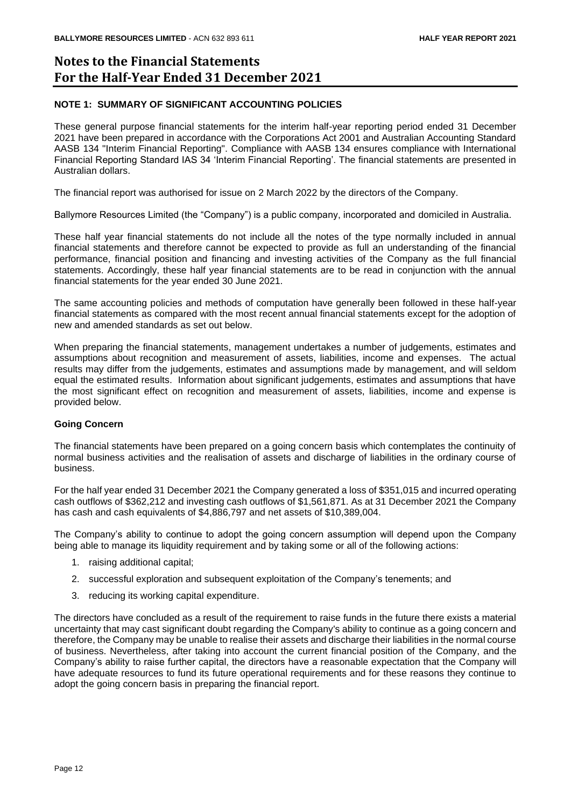## **Notes to the Financial Statements For the Half-Year Ended 31 December 2021**

#### **NOTE 1: SUMMARY OF SIGNIFICANT ACCOUNTING POLICIES**

These general purpose financial statements for the interim half-year reporting period ended 31 December 2021 have been prepared in accordance with the Corporations Act 2001 and Australian Accounting Standard AASB 134 "Interim Financial Reporting". Compliance with AASB 134 ensures compliance with International Financial Reporting Standard IAS 34 'Interim Financial Reporting'. The financial statements are presented in Australian dollars.

The financial report was authorised for issue on 2 March 2022 by the directors of the Company.

Ballymore Resources Limited (the "Company") is a public company, incorporated and domiciled in Australia.

These half year financial statements do not include all the notes of the type normally included in annual financial statements and therefore cannot be expected to provide as full an understanding of the financial performance, financial position and financing and investing activities of the Company as the full financial statements. Accordingly, these half year financial statements are to be read in conjunction with the annual financial statements for the year ended 30 June 2021.

The same accounting policies and methods of computation have generally been followed in these half-year financial statements as compared with the most recent annual financial statements except for the adoption of new and amended standards as set out below.

When preparing the financial statements, management undertakes a number of judgements, estimates and assumptions about recognition and measurement of assets, liabilities, income and expenses. The actual results may differ from the judgements, estimates and assumptions made by management, and will seldom equal the estimated results. Information about significant judgements, estimates and assumptions that have the most significant effect on recognition and measurement of assets, liabilities, income and expense is provided below.

#### **Going Concern**

The financial statements have been prepared on a going concern basis which contemplates the continuity of normal business activities and the realisation of assets and discharge of liabilities in the ordinary course of business.

For the half year ended 31 December 2021 the Company generated a loss of \$351,015 and incurred operating cash outflows of \$362,212 and investing cash outflows of \$1,561,871. As at 31 December 2021 the Company has cash and cash equivalents of \$4,886,797 and net assets of \$10,389,004.

The Company's ability to continue to adopt the going concern assumption will depend upon the Company being able to manage its liquidity requirement and by taking some or all of the following actions:

- 1. raising additional capital;
- 2. successful exploration and subsequent exploitation of the Company's tenements; and
- 3. reducing its working capital expenditure.

The directors have concluded as a result of the requirement to raise funds in the future there exists a material uncertainty that may cast significant doubt regarding the Company's ability to continue as a going concern and therefore, the Company may be unable to realise their assets and discharge their liabilities in the normal course of business. Nevertheless, after taking into account the current financial position of the Company, and the Company's ability to raise further capital, the directors have a reasonable expectation that the Company will have adequate resources to fund its future operational requirements and for these reasons they continue to adopt the going concern basis in preparing the financial report.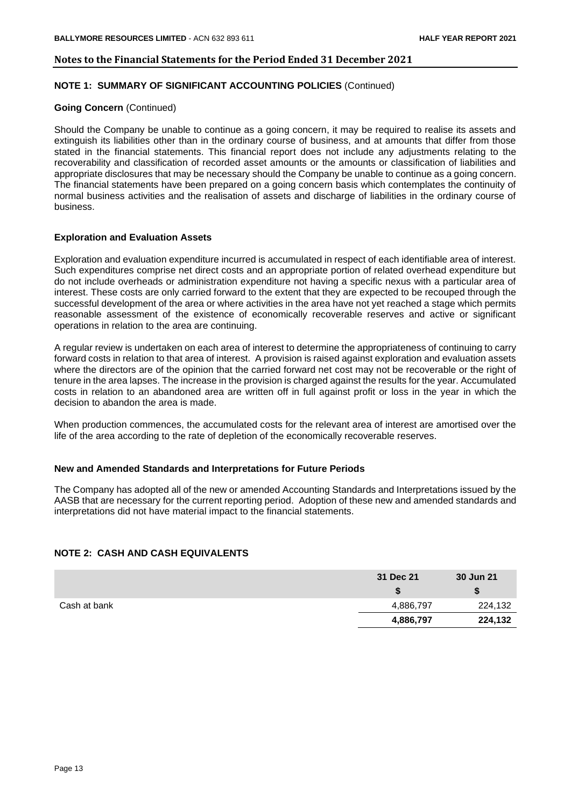#### **NOTE 1: SUMMARY OF SIGNIFICANT ACCOUNTING POLICIES** (Continued)

#### **Going Concern** (Continued)

Should the Company be unable to continue as a going concern, it may be required to realise its assets and extinguish its liabilities other than in the ordinary course of business, and at amounts that differ from those stated in the financial statements. This financial report does not include any adjustments relating to the recoverability and classification of recorded asset amounts or the amounts or classification of liabilities and appropriate disclosures that may be necessary should the Company be unable to continue as a going concern. The financial statements have been prepared on a going concern basis which contemplates the continuity of normal business activities and the realisation of assets and discharge of liabilities in the ordinary course of business.

#### **Exploration and Evaluation Assets**

Exploration and evaluation expenditure incurred is accumulated in respect of each identifiable area of interest. Such expenditures comprise net direct costs and an appropriate portion of related overhead expenditure but do not include overheads or administration expenditure not having a specific nexus with a particular area of interest. These costs are only carried forward to the extent that they are expected to be recouped through the successful development of the area or where activities in the area have not yet reached a stage which permits reasonable assessment of the existence of economically recoverable reserves and active or significant operations in relation to the area are continuing.

A regular review is undertaken on each area of interest to determine the appropriateness of continuing to carry forward costs in relation to that area of interest. A provision is raised against exploration and evaluation assets where the directors are of the opinion that the carried forward net cost may not be recoverable or the right of tenure in the area lapses. The increase in the provision is charged against the results for the year. Accumulated costs in relation to an abandoned area are written off in full against profit or loss in the year in which the decision to abandon the area is made.

When production commences, the accumulated costs for the relevant area of interest are amortised over the life of the area according to the rate of depletion of the economically recoverable reserves.

#### **New and Amended Standards and Interpretations for Future Periods**

The Company has adopted all of the new or amended Accounting Standards and Interpretations issued by the AASB that are necessary for the current reporting period. Adoption of these new and amended standards and interpretations did not have material impact to the financial statements.

#### **NOTE 2: CASH AND CASH EQUIVALENTS**

|              | 31 Dec 21 | 30 Jun 21 |
|--------------|-----------|-----------|
|              |           |           |
| Cash at bank | 4,886,797 | 224,132   |
|              | 4,886,797 | 224,132   |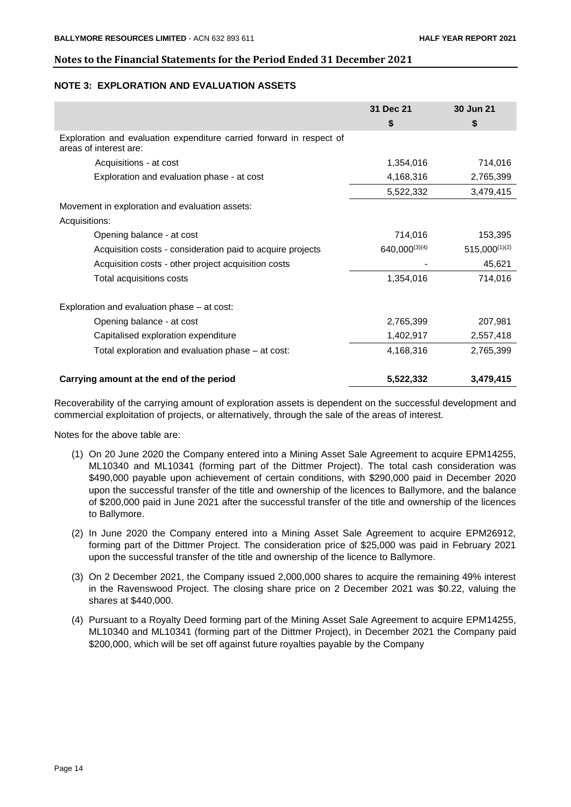#### **NOTE 3: EXPLORATION AND EVALUATION ASSETS**

|                                                                                                | 31 Dec 21     | 30 Jun 21          |
|------------------------------------------------------------------------------------------------|---------------|--------------------|
|                                                                                                | \$            | \$                 |
| Exploration and evaluation expenditure carried forward in respect of<br>areas of interest are: |               |                    |
| Acquisitions - at cost                                                                         | 1,354,016     | 714,016            |
| Exploration and evaluation phase - at cost                                                     | 4,168,316     | 2,765,399          |
|                                                                                                | 5,522,332     | 3,479,415          |
| Movement in exploration and evaluation assets:                                                 |               |                    |
| Acquisitions:                                                                                  |               |                    |
| Opening balance - at cost                                                                      | 714,016       | 153,395            |
| Acquisition costs - consideration paid to acquire projects                                     | 640,000(3)(4) | $515,000^{(1)(2)}$ |
| Acquisition costs - other project acquisition costs                                            |               | 45,621             |
| Total acquisitions costs                                                                       | 1,354,016     | 714,016            |
| Exploration and evaluation phase – at cost:                                                    |               |                    |
| Opening balance - at cost                                                                      | 2,765,399     | 207,981            |
| Capitalised exploration expenditure                                                            | 1,402,917     | 2,557,418          |
| Total exploration and evaluation phase – at cost:                                              | 4,168,316     | 2,765,399          |
| Carrying amount at the end of the period                                                       | 5,522,332     | 3,479,415          |

Recoverability of the carrying amount of exploration assets is dependent on the successful development and commercial exploitation of projects, or alternatively, through the sale of the areas of interest.

Notes for the above table are:

- (1) On 20 June 2020 the Company entered into a Mining Asset Sale Agreement to acquire EPM14255, ML10340 and ML10341 (forming part of the Dittmer Project). The total cash consideration was \$490,000 payable upon achievement of certain conditions, with \$290,000 paid in December 2020 upon the successful transfer of the title and ownership of the licences to Ballymore, and the balance of \$200,000 paid in June 2021 after the successful transfer of the title and ownership of the licences to Ballymore.
- (2) In June 2020 the Company entered into a Mining Asset Sale Agreement to acquire EPM26912, forming part of the Dittmer Project. The consideration price of \$25,000 was paid in February 2021 upon the successful transfer of the title and ownership of the licence to Ballymore.
- (3) On 2 December 2021, the Company issued 2,000,000 shares to acquire the remaining 49% interest in the Ravenswood Project. The closing share price on 2 December 2021 was \$0.22, valuing the shares at \$440,000.
- (4) Pursuant to a Royalty Deed forming part of the Mining Asset Sale Agreement to acquire EPM14255, ML10340 and ML10341 (forming part of the Dittmer Project), in December 2021 the Company paid \$200,000, which will be set off against future royalties payable by the Company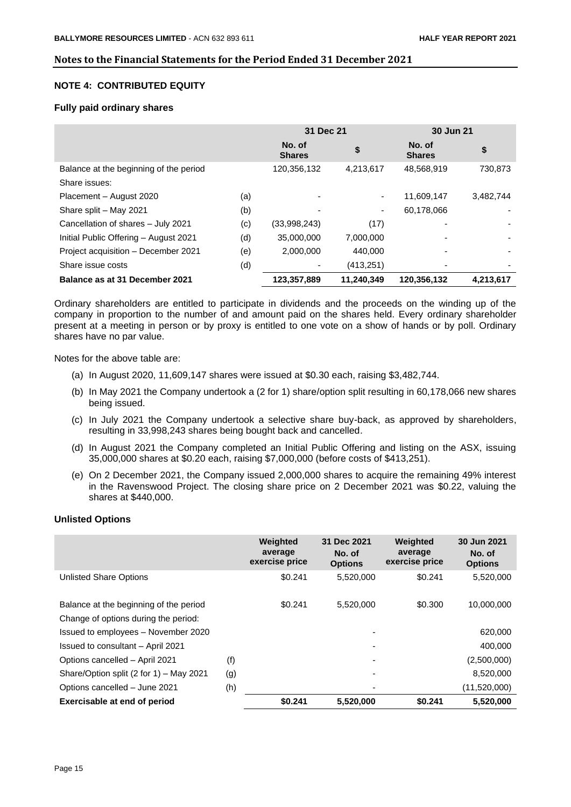#### **NOTE 4: CONTRIBUTED EQUITY**

#### **Fully paid ordinary shares**

|                                        |     | 31 Dec 21               |            | 30 Jun 21               |           |
|----------------------------------------|-----|-------------------------|------------|-------------------------|-----------|
|                                        |     | No. of<br><b>Shares</b> | \$         | No. of<br><b>Shares</b> | \$        |
| Balance at the beginning of the period |     | 120,356,132             | 4,213,617  | 48,568,919              | 730,873   |
| Share issues:                          |     |                         |            |                         |           |
| Placement - August 2020                | (a) |                         | ۰          | 11,609,147              | 3,482,744 |
| Share split - May 2021                 | (b) |                         |            | 60,178,066              |           |
| Cancellation of shares - July 2021     | (c) | (33,998,243)            | (17)       |                         |           |
| Initial Public Offering - August 2021  | (d) | 35,000,000              | 7,000,000  |                         |           |
| Project acquisition - December 2021    | (e) | 2,000,000               | 440.000    |                         |           |
| Share issue costs                      | (d) |                         | (413,251)  |                         |           |
| Balance as at 31 December 2021         |     | 123,357,889             | 11,240,349 | 120,356,132             | 4,213,617 |

Ordinary shareholders are entitled to participate in dividends and the proceeds on the winding up of the company in proportion to the number of and amount paid on the shares held. Every ordinary shareholder present at a meeting in person or by proxy is entitled to one vote on a show of hands or by poll. Ordinary shares have no par value.

Notes for the above table are:

- (a) In August 2020, 11,609,147 shares were issued at \$0.30 each, raising \$3,482,744.
- (b) In May 2021 the Company undertook a (2 for 1) share/option split resulting in 60,178,066 new shares being issued.
- (c) In July 2021 the Company undertook a selective share buy-back, as approved by shareholders, resulting in 33,998,243 shares being bought back and cancelled.
- (d) In August 2021 the Company completed an Initial Public Offering and listing on the ASX, issuing 35,000,000 shares at \$0.20 each, raising \$7,000,000 (before costs of \$413,251).
- (e) On 2 December 2021, the Company issued 2,000,000 shares to acquire the remaining 49% interest in the Ravenswood Project. The closing share price on 2 December 2021 was \$0.22, valuing the shares at \$440,000.

#### **Unlisted Options**

|                                         |     | Weighted<br>average<br>exercise price | 31 Dec 2021<br>No. of<br><b>Options</b> | Weighted<br>average<br>exercise price | 30 Jun 2021<br>No. of<br><b>Options</b> |
|-----------------------------------------|-----|---------------------------------------|-----------------------------------------|---------------------------------------|-----------------------------------------|
| <b>Unlisted Share Options</b>           |     | \$0.241                               | 5,520,000                               | \$0.241                               | 5,520,000                               |
| Balance at the beginning of the period  |     | \$0.241                               | 5,520,000                               | \$0.300                               | 10,000,000                              |
| Change of options during the period:    |     |                                       |                                         |                                       |                                         |
| Issued to employees - November 2020     |     |                                       |                                         |                                       | 620,000                                 |
| Issued to consultant - April 2021       |     |                                       |                                         |                                       | 400,000                                 |
| Options cancelled - April 2021          | (f) |                                       |                                         |                                       | (2,500,000)                             |
| Share/Option split (2 for 1) - May 2021 | (g) |                                       |                                         |                                       | 8,520,000                               |
| Options cancelled - June 2021           | (h) |                                       |                                         |                                       | (11,520,000)                            |
| Exercisable at end of period            |     | \$0.241                               | 5,520,000                               | \$0.241                               | 5,520,000                               |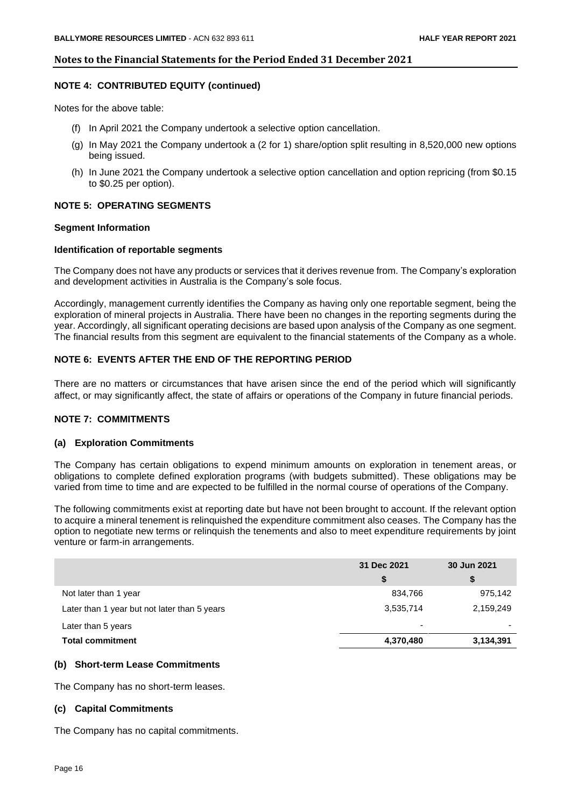#### **NOTE 4: CONTRIBUTED EQUITY (continued)**

Notes for the above table:

- (f) In April 2021 the Company undertook a selective option cancellation.
- (g) In May 2021 the Company undertook a (2 for 1) share/option split resulting in 8,520,000 new options being issued.
- (h) In June 2021 the Company undertook a selective option cancellation and option repricing (from \$0.15 to \$0.25 per option).

#### **NOTE 5: OPERATING SEGMENTS**

#### **Segment Information**

#### **Identification of reportable segments**

The Company does not have any products or services that it derives revenue from. The Company's exploration and development activities in Australia is the Company's sole focus.

Accordingly, management currently identifies the Company as having only one reportable segment, being the exploration of mineral projects in Australia. There have been no changes in the reporting segments during the year. Accordingly, all significant operating decisions are based upon analysis of the Company as one segment. The financial results from this segment are equivalent to the financial statements of the Company as a whole.

#### **NOTE 6: EVENTS AFTER THE END OF THE REPORTING PERIOD**

There are no matters or circumstances that have arisen since the end of the period which will significantly affect, or may significantly affect, the state of affairs or operations of the Company in future financial periods.

#### **NOTE 7: COMMITMENTS**

#### **(a) Exploration Commitments**

The Company has certain obligations to expend minimum amounts on exploration in tenement areas, or obligations to complete defined exploration programs (with budgets submitted). These obligations may be varied from time to time and are expected to be fulfilled in the normal course of operations of the Company.

The following commitments exist at reporting date but have not been brought to account. If the relevant option to acquire a mineral tenement is relinquished the expenditure commitment also ceases. The Company has the option to negotiate new terms or relinquish the tenements and also to meet expenditure requirements by joint venture or farm-in arrangements.

|                                              | 31 Dec 2021              | 30 Jun 2021 |
|----------------------------------------------|--------------------------|-------------|
|                                              | S                        | \$          |
| Not later than 1 year                        | 834,766                  | 975,142     |
| Later than 1 year but not later than 5 years | 3,535,714                | 2,159,249   |
| Later than 5 years                           | $\overline{\phantom{0}}$ | -           |
| <b>Total commitment</b>                      | 4,370,480                | 3,134,391   |

#### **(b) Short-term Lease Commitments**

The Company has no short-term leases.

#### **(c) Capital Commitments**

The Company has no capital commitments.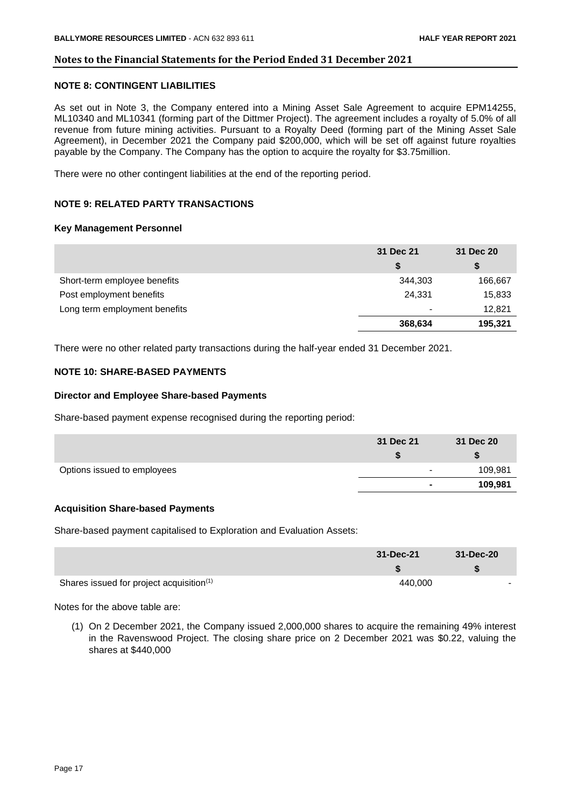#### **NOTE 8: CONTINGENT LIABILITIES**

As set out in Note 3, the Company entered into a Mining Asset Sale Agreement to acquire EPM14255, ML10340 and ML10341 (forming part of the Dittmer Project). The agreement includes a royalty of 5.0% of all revenue from future mining activities. Pursuant to a Royalty Deed (forming part of the Mining Asset Sale Agreement), in December 2021 the Company paid \$200,000, which will be set off against future royalties payable by the Company. The Company has the option to acquire the royalty for \$3.75million.

There were no other contingent liabilities at the end of the reporting period.

#### **NOTE 9: RELATED PARTY TRANSACTIONS**

#### **Key Management Personnel**

|                               | 31 Dec 21 | 31 Dec 20 |  |
|-------------------------------|-----------|-----------|--|
|                               | \$        | \$        |  |
| Short-term employee benefits  | 344,303   | 166,667   |  |
| Post employment benefits      | 24,331    | 15,833    |  |
| Long term employment benefits | $\,$ $\,$ | 12,821    |  |
|                               | 368,634   | 195,321   |  |

There were no other related party transactions during the half-year ended 31 December 2021.

#### **NOTE 10: SHARE-BASED PAYMENTS**

#### **Director and Employee Share-based Payments**

Share-based payment expense recognised during the reporting period:

|                             | 31 Dec 21                | 31 Dec 20 |
|-----------------------------|--------------------------|-----------|
|                             |                          |           |
| Options issued to employees | $\blacksquare$           | 109,981   |
|                             | $\overline{\phantom{a}}$ | 109,981   |

#### **Acquisition Share-based Payments**

Share-based payment capitalised to Exploration and Evaluation Assets:

|                                                      | 31-Dec-21 | 31-Dec-20 |
|------------------------------------------------------|-----------|-----------|
|                                                      |           |           |
| Shares issued for project acquisition <sup>(1)</sup> | 440.000   |           |

Notes for the above table are:

(1) On 2 December 2021, the Company issued 2,000,000 shares to acquire the remaining 49% interest in the Ravenswood Project. The closing share price on 2 December 2021 was \$0.22, valuing the shares at \$440,000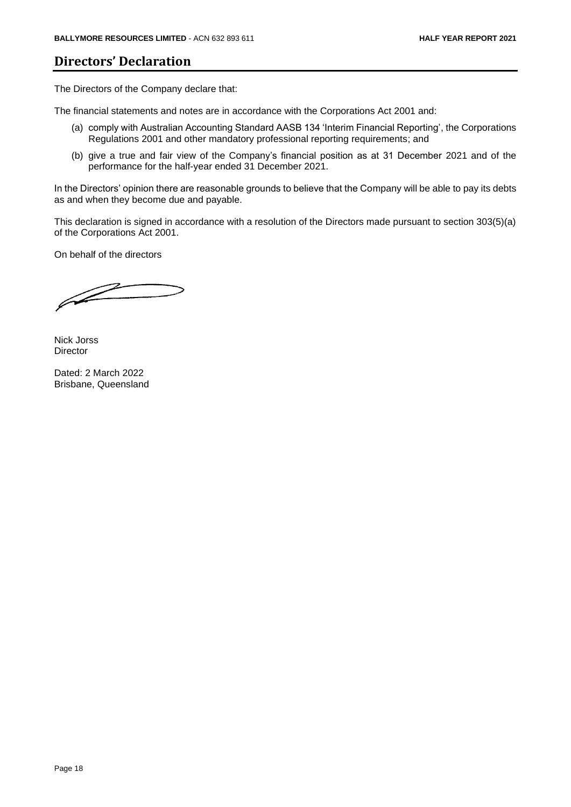## **Directors' Declaration**

The Directors of the Company declare that:

The financial statements and notes are in accordance with the Corporations Act 2001 and:

- (a) comply with Australian Accounting Standard AASB 134 'Interim Financial Reporting', the Corporations Regulations 2001 and other mandatory professional reporting requirements; and
- (b) give a true and fair view of the Company's financial position as at 31 December 2021 and of the performance for the half-year ended 31 December 2021.

In the Directors' opinion there are reasonable grounds to believe that the Company will be able to pay its debts as and when they become due and payable.

This declaration is signed in accordance with a resolution of the Directors made pursuant to section 303(5)(a) of the Corporations Act 2001.

On behalf of the directors

 $\mathbb{Z}$ 

Nick Jorss Director

Dated: 2 March 2022 Brisbane, Queensland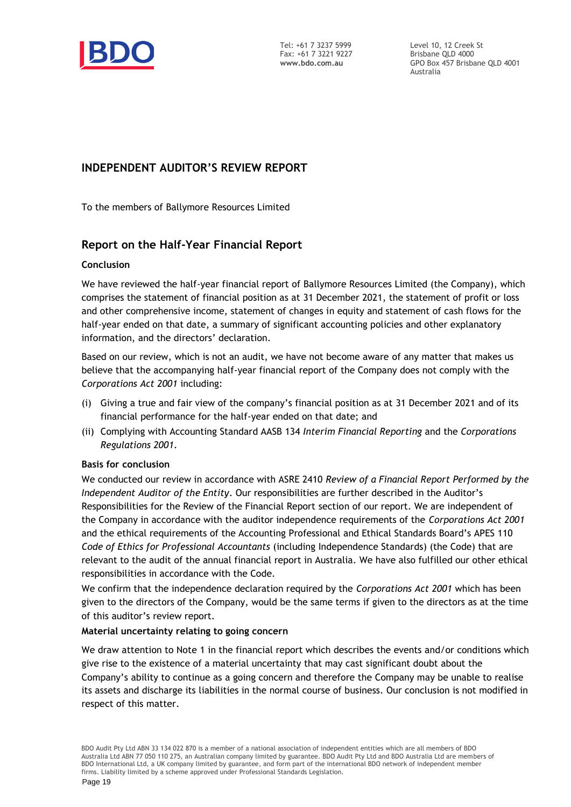

Level 10, 12 Creek St Brisbane QLD 4000 GPO Box 457 Brisbane QLD 4001 Australia

### **INDEPENDENT AUDITOR'S REVIEW REPORT**

To the members of Ballymore Resources Limited

### **Report on the Half-Year Financial Report**

#### **Conclusion**

We have reviewed the half-year financial report of Ballymore Resources Limited (the Company), which comprises the statement of financial position as at 31 December 2021, the statement of profit or loss and other comprehensive income, statement of changes in equity and statement of cash flows for the half-year ended on that date, a summary of significant accounting policies and other explanatory information, and the directors' declaration.

Based on our review, which is not an audit, we have not become aware of any matter that makes us believe that the accompanying half-year financial report of the Company does not comply with the *Corporations Act 2001* including:

- (i) Giving a true and fair view of the company's financial position as at 31 December 2021 and of its financial performance for the half-year ended on that date; and
- (ii) Complying with Accounting Standard AASB 134 *Interim Financial Reporting* and the *Corporations Regulations 2001*.

#### **Basis for conclusion**

We conducted our review in accordance with ASRE 2410 *Review of a Financial Report Performed by the Independent Auditor of the Entity*. Our responsibilities are further described in the Auditor's Responsibilities for the Review of the Financial Report section of our report. We are independent of the Company in accordance with the auditor independence requirements of the *Corporations Act 2001* and the ethical requirements of the Accounting Professional and Ethical Standards Board's APES 110 *Code of Ethics for Professional Accountants* (including Independence Standards) (the Code) that are relevant to the audit of the annual financial report in Australia. We have also fulfilled our other ethical responsibilities in accordance with the Code.

We confirm that the independence declaration required by the *Corporations Act 2001* which has been given to the directors of the Company, would be the same terms if given to the directors as at the time of this auditor's review report.

#### **Material uncertainty relating to going concern**

We draw attention to Note 1 in the financial report which describes the events and/or conditions which give rise to the existence of a material uncertainty that may cast significant doubt about the Company's ability to continue as a going concern and therefore the Company may be unable to realise its assets and discharge its liabilities in the normal course of business. Our conclusion is not modified in respect of this matter.